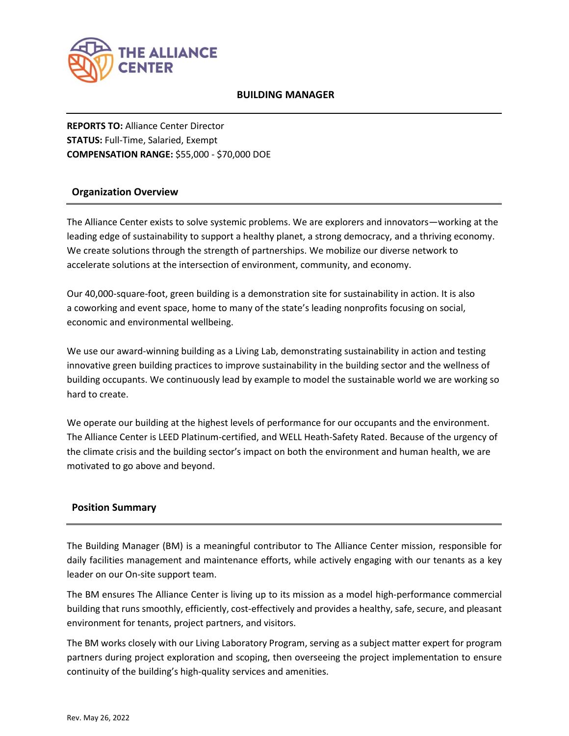

## **BUILDING MANAGER**

**REPORTS TO:** Alliance Center Director **STATUS:** Full-Time, Salaried, Exempt **COMPENSATION RANGE:** \$55,000 - \$70,000 DOE

# **Organization Overview**

The Alliance Center exists to solve systemic problems. We are explorers and innovators—working at the leading edge of sustainability to support a healthy planet, a strong democracy, and a thriving economy. We create solutions through the strength of partnerships. We mobilize our diverse network to accelerate solutions at the intersection of environment, community, and economy.

Our 40,000-square-foot, green [building](about:blank) is a demonstration site for sustainability in action. It is also a [coworking](about:blank) and event [space,](about:blank) home to many of the state's leading nonprofits focusing on social, economic and environmental wellbeing.

We use our award-winning building as a Living Lab, demonstrating sustainability in action and testing innovative green building practices to improve sustainability in the building sector and the wellness of building occupants. We continuously lead by example to model the sustainable world we are working so hard to create.

We operate our [building](about:blank) at the highest levels of performance for our occupants and the environment. The Alliance Center is LEED Platinum-certified, and WELL Heath-Safety Rated. Because of the urgency of the climate crisis and the building sector's impact on both the environment and human health, we are motivated to go above and beyond.

# **Position Summary**

The Building Manager (BM) is a meaningful contributor to The Alliance Center mission, responsible for daily facilities management and maintenance efforts, while actively engaging with our tenants as a key leader on our On-site support team.

The BM ensures The Alliance Center is living up to its mission as a model high-performance commercial building that runs smoothly, efficiently, cost-effectively and provides a healthy, safe, secure, and pleasant environment for tenants, project partners, and visitors.

The BM works closely with our Living Laboratory Program, serving as a subject matter expert for program partners during project exploration and scoping, then overseeing the project implementation to ensure continuity of the building's high-quality services and amenities.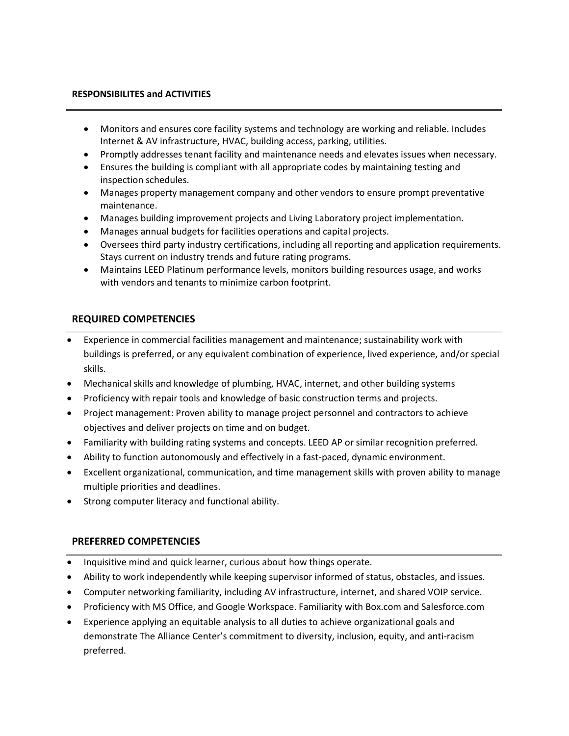#### **RESPONSIBILITES and ACTIVITIES**

- Monitors and ensures core facility systems and technology are working and reliable. Includes Internet & AV infrastructure, HVAC, building access, parking, utilities.
- Promptly addresses tenant facility and maintenance needs and elevates issues when necessary.
- Ensures the building is compliant with all appropriate codes by maintaining testing and inspection schedules.
- Manages property management company and other vendors to ensure prompt preventative maintenance.
- Manages building improvement projects and Living Laboratory project implementation.
- Manages annual budgets for facilities operations and capital projects.
- Oversees third party industry certifications, including all reporting and application requirements. Stays current on industry trends and future rating programs.
- Maintains LEED Platinum performance levels, monitors building resources usage, and works with vendors and tenants to minimize carbon footprint.

## **REQUIRED COMPETENCIES**

- Experience in commercial facilities management and maintenance; sustainability work with buildings is preferred, or any equivalent combination of experience, lived experience, and/or special skills.
- Mechanical skills and knowledge of plumbing, HVAC, internet, and other building systems
- Proficiency with repair tools and knowledge of basic construction terms and projects.
- Project management: Proven ability to manage project personnel and contractors to achieve objectives and deliver projects on time and on budget.
- Familiarity with building rating systems and concepts. LEED AP or similar recognition preferred.
- Ability to function autonomously and effectively in a fast-paced, dynamic environment.
- Excellent organizational, communication, and time management skills with proven ability to manage multiple priorities and deadlines.
- Strong computer literacy and functional ability.

## **PREFERRED COMPETENCIES**

- Inquisitive mind and quick learner, curious about how things operate.
- Ability to work independently while keeping supervisor informed of status, obstacles, and issues.
- Computer networking familiarity, including AV infrastructure, internet, and shared VOIP service.
- Proficiency with MS Office, and Google Workspace. Familiarity with Box.com and Salesforce.com
- Experience applying an equitable analysis to all duties to achieve organizational goals and demonstrate The Alliance Center's commitment to diversity, inclusion, equity, and anti-racism preferred.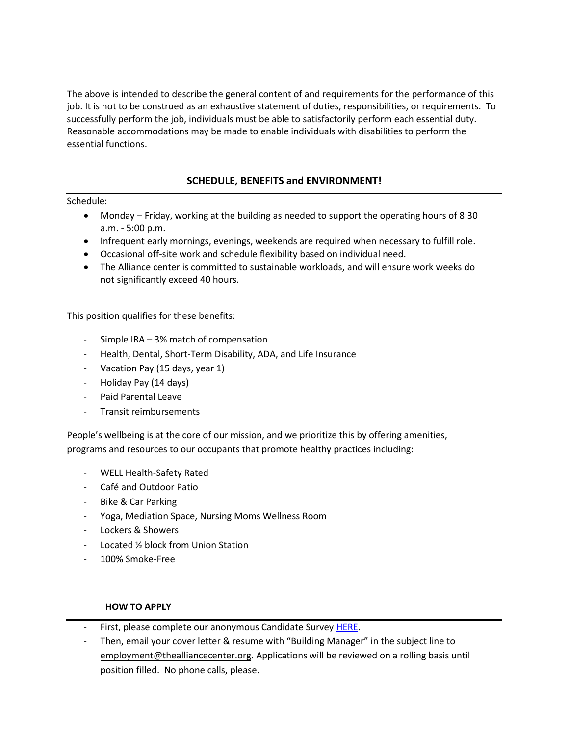The above is intended to describe the general content of and requirements for the performance of this job. It is not to be construed as an exhaustive statement of duties, responsibilities, or requirements. To successfully perform the job, individuals must be able to satisfactorily perform each essential duty. Reasonable accommodations may be made to enable individuals with disabilities to perform the essential functions.

# **SCHEDULE, BENEFITS and ENVIRONMENT!**

## Schedule:

- Monday Friday, working at the building as needed to support the operating hours of 8:30 a.m. - 5:00 p.m.
- Infrequent early mornings, evenings, weekends are required when necessary to fulfill role.
- Occasional off-site work and schedule flexibility based on individual need.
- The Alliance center is committed to sustainable workloads, and will ensure work weeks do not significantly exceed 40 hours.

This position qualifies for these benefits:

- Simple IRA 3% match of compensation
- Health, Dental, Short-Term Disability, ADA, and Life Insurance
- Vacation Pay (15 days, year 1)
- Holiday Pay (14 days)
- Paid Parental Leave
- Transit reimbursements

People's wellbeing is at the core of our mission, and we prioritize this by offering amenities, programs and resources to our occupants that promote healthy practices including:

- WELL Health-Safety Rated
- Café and Outdoor Patio
- Bike & Car Parking
- Yoga, Mediation Space, Nursing Moms Wellness Room
- Lockers & Showers
- Located % block from Union Station
- 100% Smoke-Free

## **HOW TO APPLY**

- First, please complete our anonymous Candidate Survey [HERE.](https://forms.gle/QvcmjP6wRo7YbHsa6)
- Then, email your cover letter & resume with "Building Manager" in the subject line to [employment@thealliancecenter.org.](about:blank) Applications will be reviewed on a rolling basis until position filled. No phone calls, please.